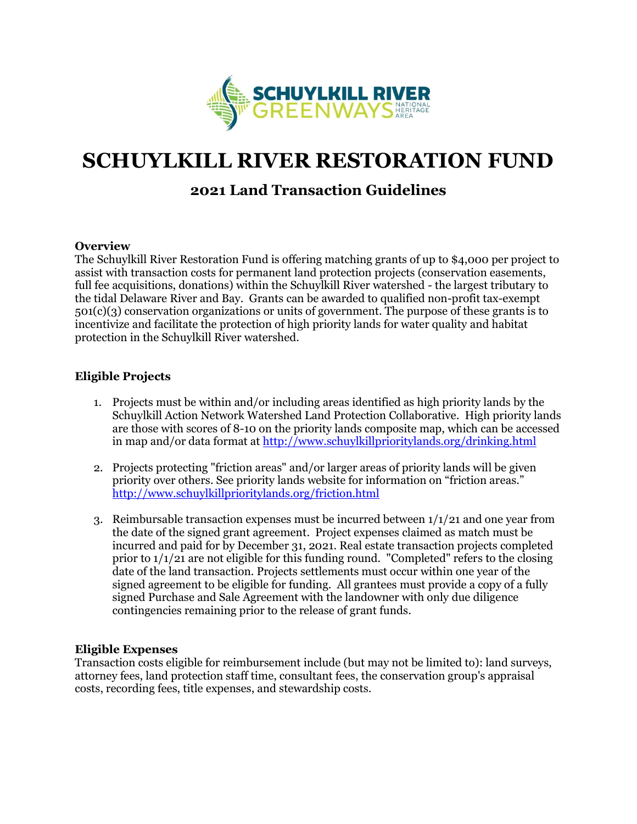

# **SCHUYLKILL RIVER RESTORATION FUND**

# **2021 Land Transaction Guidelines**

#### **Overview**

The Schuylkill River Restoration Fund is offering matching grants of up to \$4,000 per project to assist with transaction costs for permanent land protection projects (conservation easements, full fee acquisitions, donations) within the Schuylkill River watershed - the largest tributary to the tidal Delaware River and Bay. Grants can be awarded to qualified non-profit tax-exempt 501(c)(3) conservation organizations or units of government. The purpose of these grants is to incentivize and facilitate the protection of high priority lands for water quality and habitat protection in the Schuylkill River watershed.

## **Eligible Projects**

- 1. Projects must be within and/or including areas identified as high priority lands by the Schuylkill Action Network Watershed Land Protection Collaborative. High priority lands are those with scores of 8-10 on the priority lands composite map, which can be accessed in map and/or data format at <http://www.schuylkillprioritylands.org/drinking.html>
- 2. Projects protecting "friction areas" and/or larger areas of priority lands will be given priority over others. See priority lands website for information on "friction areas." <http://www.schuylkillprioritylands.org/friction.html>
- 3. Reimbursable transaction expenses must be incurred between 1/1/21 and one year from the date of the signed grant agreement. Project expenses claimed as match must be incurred and paid for by December 31, 2021. Real estate transaction projects completed prior to  $1/1/21$  are not eligible for this funding round. "Completed" refers to the closing date of the land transaction. Projects settlements must occur within one year of the signed agreement to be eligible for funding. All grantees must provide a copy of a fully signed Purchase and Sale Agreement with the landowner with only due diligence contingencies remaining prior to the release of grant funds.

#### **Eligible Expenses**

Transaction costs eligible for reimbursement include (but may not be limited to): land surveys, attorney fees, land protection staff time, consultant fees, the conservation group's appraisal costs, recording fees, title expenses, and stewardship costs.